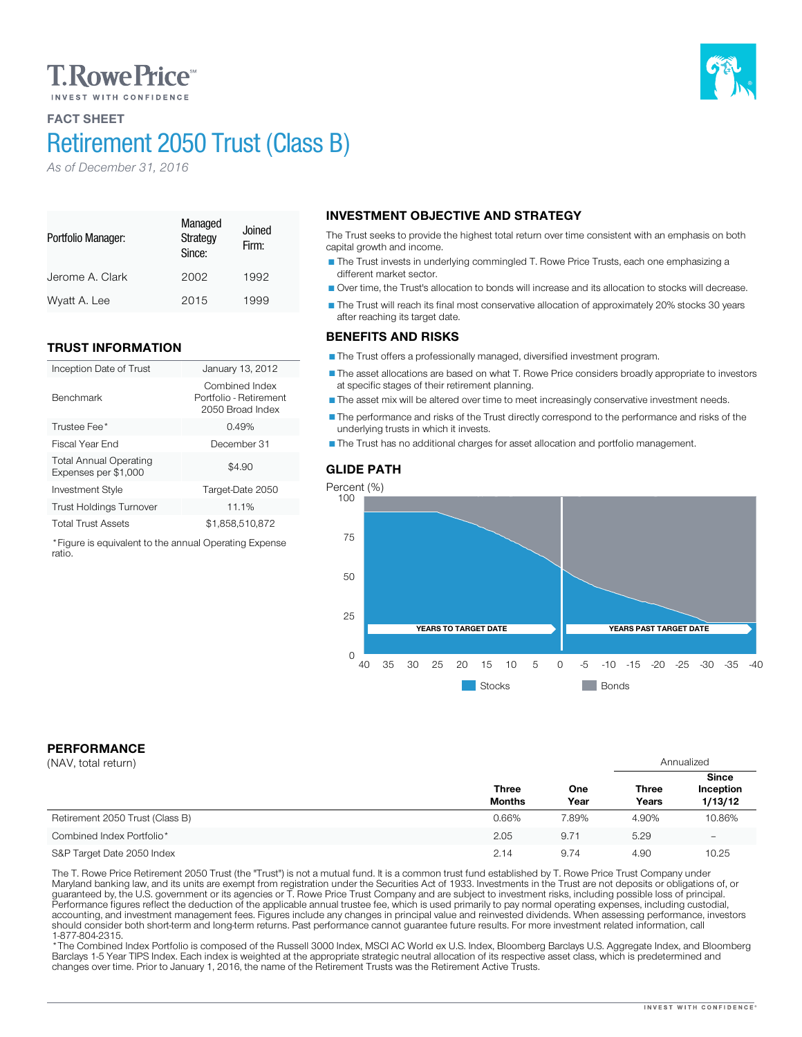# **T. Rowe Price**

## FACT SHEET

Portfolio Manager:

Benchmark

ratio.

# Retirement 2050 Trust (Class B)

Managed **Strategy** Since:

Jerome A. Clark 2002 1992 Wyatt A. Lee 2015 1999

Inception Date of Trust January 13, 2012

Investment Style Target-Date 2050 Trust Holdings Turnover 11.1% Total Trust Assets \$1,858,510,872 \*Figure is equivalent to the annual Operating Expense

Trustee Fee<sup>\*</sup> 2.49% 3.49% 3.49% 3.5 and 3.49% 3.5 and 3.49% 3.5 and 3.49% 3.5 and 3.49% 3.5 and 3.49% 3.5 and 3.49% 3.5 and 3.49% 3.49% 3.49% 3.49% 3.49% 3.49% 3.49% 3.49% 3.49% 3.49% 3.49% 3.49% 3.49% 3.49% 3.49% 3.49% 3 Fiscal Year End December 31

Joined Firm:

Combined Index Portfolio - Retirement 2050 Broad Index

 $$4.90$ 

*As of December 31, 2016*

TRUST INFORMATION

Total Annual Operating Expenses per \$1,000

## INVESTMENT OBJECTIVE AND STRATEGY

The Trust seeks to provide the highest total return over time consistent with an emphasis on both capital growth and income.

The Trust invests in underlying commingled T. Rowe Price Trusts, each one emphasizing a different market sector.

Over time, the Trust's allocation to bonds will increase and its allocation to stocks will decrease.

The Trust will reach its final most conservative allocation of approximately 20% stocks 30 years after reaching its target date.

### BENEFITS AND RISKS

The Trust offers a professionally managed, diversified investment program.

The asset allocations are based on what T. Rowe Price considers broadly appropriate to investors at specific stages of their retirement planning.

The asset mix will be altered over time to meet increasingly conservative investment needs.

The performance and risks of the Trust directly correspond to the performance and risks of the underlying trusts in which it invests.

The Trust has no additional charges for asset allocation and portfolio management.

## GLIDE PATH



## PERFORMANCE

| (NAV, total return)             |                               |             | Annualized            |                                      |
|---------------------------------|-------------------------------|-------------|-----------------------|--------------------------------------|
|                                 | <b>Three</b><br><b>Months</b> | One<br>Year | <b>Three</b><br>Years | <b>Since</b><br>Inception<br>1/13/12 |
| Retirement 2050 Trust (Class B) | 0.66%                         | 7.89%       | 4.90%                 | 10.86%                               |
| Combined Index Portfolio*       | 2.05                          | 9.71        | 5.29                  | $\overline{\phantom{0}}$             |
| S&P Target Date 2050 Index      | 2.14                          | 9.74        | 4.90                  | 10.25                                |

The T. Rowe Price Retirement 2050 Trust (the "Trust") is not a mutual fund. It is a common trust fund established by T. Rowe Price Trust Company under<br>Maryland banking law, and its units are exempt from registration under should consider both short-term and long-term returns. Past performance cannot guarantee future results. For more investment related information, call<br>1-877-804-2315.

\* The Combined Index Portfolio is composed of the Russell 3000 Index, MSCI AC World ex U.S. Index, Bloomberg Barclays U.S. Aggregate Index, and Bloomberg Barclays 1-5 Year TIPS Index. Each index is weighted at the appropriate strategic neutral allocation of its respective asset class, which is predetermined and changes over time. Prior to January 1, 2016, the name of the Retirement Trusts was the Retirement Active Trusts.

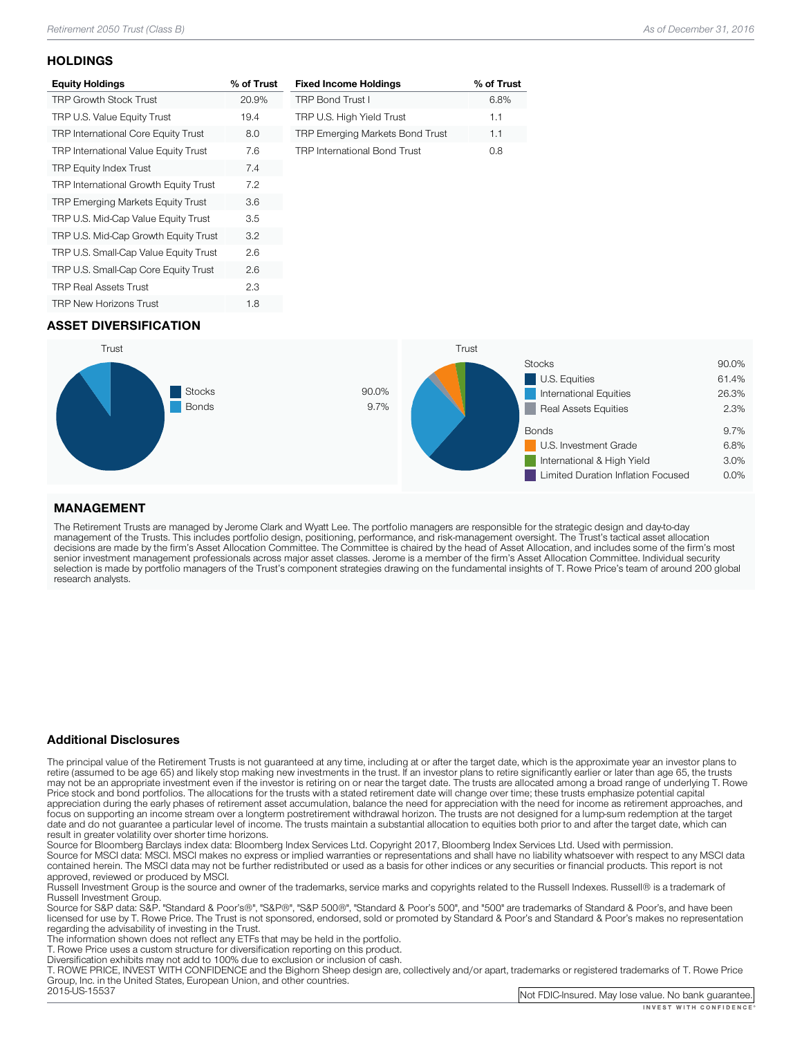### **HOLDINGS**

| <b>Equity Holdings</b>                     | % of Trust |
|--------------------------------------------|------------|
| <b>TRP Growth Stock Trust</b>              | 20.9%      |
| TRP U.S. Value Equity Trust                | 19.4       |
| <b>TRP International Core Equity Trust</b> | 8.0        |
| TRP International Value Equity Trust       | 7.6        |
| <b>TRP Equity Index Trust</b>              | 7.4        |
| TRP International Growth Equity Trust      | 7.2        |
| TRP Emerging Markets Equity Trust          | 3.6        |
| TRP U.S. Mid-Cap Value Equity Trust        | 3.5        |
| TRP U.S. Mid-Cap Growth Equity Trust       | 3.2        |
| TRP U.S. Small-Cap Value Equity Trust      | 2.6        |
| TRP U.S. Small-Cap Core Equity Trust       | 2.6        |
| <b>TRP Real Assets Trust</b>               | 2.3        |
| <b>TRP New Horizons Trust</b>              | 1.8        |

| <b>Fixed Income Holdings</b>        | % of Trust |
|-------------------------------------|------------|
| <b>TRP Bond Trust I</b>             | 6.8%       |
| TRP U.S. High Yield Trust           | 1.1        |
| TRP Emerging Markets Bond Trust     | 1.1        |
| <b>TRP International Bond Trust</b> | nя         |

## ASSET DIVERSIFICATION



## MANAGEMENT

The Retirement Trusts are managed by Jerome Clark and Wyatt Lee. The portfolio managers are responsible for the strategic design and day-to-day<br>management of the Trusts. This includes portfolio design, positioning, perform research analysts.

### Additional Disclosures

The principal value of the Retirement Trusts is not guaranteed at any time, including at or after the target date, which is the approximate year an investor plans to retire (assumed to be age 65) and likely stop making new may not be an appropriate investment even if the investor is retiring on or near the target date. The trusts are allocated among a broad range of underlying T. Rowe<br>Price stock and bond portfolios. The allocations for the focus on supporting an income stream over a longterm postretirement withdrawal horizon. The trusts are not designed for a lump-sum redemption at the target date and do not guarantee a particular level of income. The trusts maintain a substantial allocation to equities both prior to and after the target date, which can result in greater volatility over shorter time horizons.

Source for Bloomberg Barclays index data: Bloomberg Index Services Ltd. Copyright 2017, Bloomberg Index Services Ltd. Used with permission.<br>Source for MSCI data: MSCI. MSCI makes no express or implied warranties or represe

approved, reviewed or produced by MSCI.<br>Russell Investment Group is the source and owner of the trademarks, service marks and copyrights related to the Russell Indexes. Russell® is a trademark of<br>Russell Investment Group.

Russell Investment Group. Source Group and Group", "Same Standard Group", "Standard Group", and "500" are trademarks of Standard & Poor's, and have been licensed for use by T. Rowe Price. The Trust is not sponsored, endorsed, sold or promoted by Standard & Poor's and Standard & Poor's makes no representation<br>regarding the advisability of investing in the Trust.

The information shown does not reflect any ETFs that may be held in the portfolio.<br>T. Rowe Price uses a custom structure for diversification reporting on this product.<br>Diversification exhibits may not add to 100% due to ex